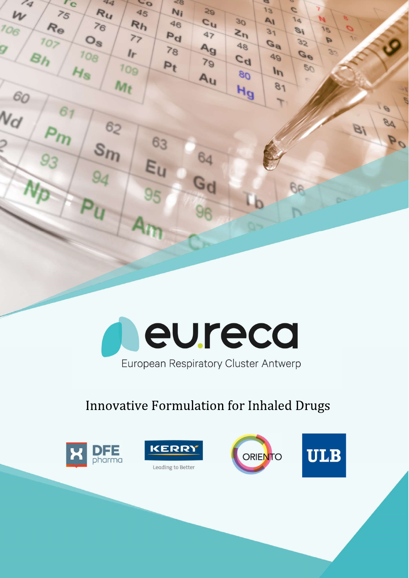

# **Innovative Formulation for Inhaled Drugs**



 $\mathcal{L}_{q}$ 

 $\boldsymbol{\nu}$ 

60

 $N_{\mathcal{C}}$ 

106

 $r_{\rm c}$ 

 $\overline{z_5}$ 

Re

 $O$ 

 $44$ 

Ru

 $76$ 

 $O_{\mathcal{S}}$ 

108

Hs

 $\sim$ 

45

 $R<sub>h</sub>$ 

 $77$ 

 $I_r$ 

109

 $M_t$ 

 $6<sub>2</sub>$ 

 $S_{I}$ 

 $< 8$ 

 $\frac{20}{3}$ 

 $c_{\rm u}$ 

 $47$ 

 $A_{9}$ 

 $79$ 

 $A_{U}$ 

64

Gd

**Ni** 

 $46$ 

 $p<sub>d</sub>$ 

 $78$ 

 $P_t$ 

63

Eu

95

 $\mathbf{z}$ 

 $13$ 

AI

 $31$ 

 $G_{\theta}$ 

 $49$ 

 $ln$ 

 $81$ 

۳

**BR** 

 $30$ 

 $z_{h}$ 

 $8P$ 

 $c<sub>d</sub>$ 

 $\sqrt{80}$ 

Hg

a

 $\overline{c}$ 

 $14$ 

 $\mathcal{B}$ 

 $32$ 

Ge

 $50$ 

15

 $\overline{p}$ 

84

oq

 $\overline{B}$ 





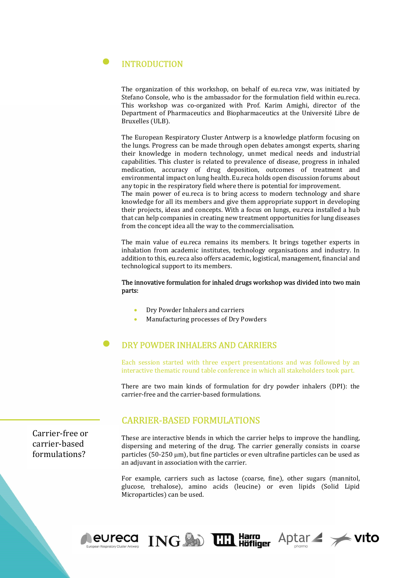# INTRODUCTION

The organization of this workshop, on behalf of eu.reca vzw, was initiated by Stefano Console, who is the ambassador for the formulation field within eu.reca. This workshop was co-organized with Prof. Karim Amighi, director of the Department of Pharmaceutics and Biopharmaceutics at the Université Libre de Bruxelles (ULB).

The European Respiratory Cluster Antwerp is a knowledge platform focusing on the lungs. Progress can be made through open debates amongst experts, sharing their knowledge in modern technology, unmet medical needs and industrial capabilities. This cluster is related to prevalence of disease, progress in inhaled medication, accuracy of drug deposition, outcomes of treatment and environmental impact on lung health. Eu.reca holds open discussion forums about any topic in the respiratory field where there is potential for improvement.

The main power of eu.reca is to bring access to modern technology and share knowledge for all its members and give them appropriate support in developing their projects, ideas and concepts. With a focus on lungs, eu.reca installed a hub that can help companies in creating new treatment opportunities for lung diseases from the concept idea all the way to the commercialisation.

The main value of eu.reca remains its members. It brings together experts in inhalation from academic institutes, technology organisations and industry. In addition to this, eu.reca also offers academic, logistical, management, financial and technological support to its members.

#### The innovative formulation for inhaled drugs workshop was divided into two main parts:

- Dry Powder Inhalers and carriers
- Manufacturing processes of Dry Powders

## DRY POWDER INHALERS AND CARRIERS

Each session started with three expert presentations and was followed by an interactive thematic round table conference in which all stakeholders took part.

There are two main kinds of formulation for dry powder inhalers (DPI): the carrier-free and the carrier-based formulations.

#### CARRIER-BASED FORMULATIONS

These are interactive blends in which the carrier helps to improve the handling, dispersing and metering of the drug. The carrier generally consists in coarse particles (50-250 µm), but fine particles or even ultrafine particles can be used as an adjuvant in association with the carrier.

For example, carriers such as lactose (coarse, fine), other sugars (mannitol, glucose, trehalose), amino acids (leucine) or even lipids (Solid Lipid Microparticles) can be used.



Carrier-free or carrier-based formulations?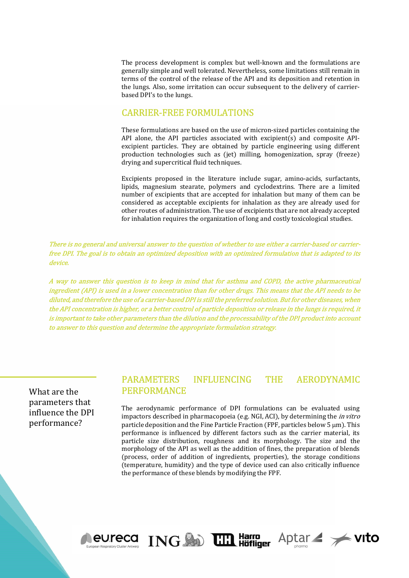The process development is complex but well-known and the formulations are generally simple and well tolerated. Nevertheless, some limitations still remain in terms of the control of the release of the API and its deposition and retention in the lungs. Also, some irritation can occur subsequent to the delivery of carrierbased DPI's to the lungs.

#### CARRIER-FREE FORMULATIONS

These formulations are based on the use of micron-sized particles containing the API alone, the API particles associated with excipient(s) and composite APIexcipient particles. They are obtained by particle engineering using different production technologies such as (jet) milling, homogenization, spray (freeze) drying and supercritical fluid techniques.

Excipients proposed in the literature include sugar, amino-acids, surfactants, lipids, magnesium stearate, polymers and cyclodextrins. There are a limited number of excipients that are accepted for inhalation but many of them can be considered as acceptable excipients for inhalation as they are already used for other routes of administration. The use of excipients that are not already accepted for inhalation requires the organization of long and costly toxicological studies.

There is no general and universal answer to the question of whether to use either a carrier-based or carrierfree DPI. The goal is to obtain an optimized deposition with an optimized formulation that is adapted to its device.

A way to answer this question is to keep in mind that for asthma and COPD, the active pharmaceutical ingredient (API) is used in a lower concentration than for other drugs. This means that the API needs to be diluted, and therefore the use of a carrier-based DPI is still the preferred solution. But for other diseases, when the API concentration is higher, or a better control of particle deposition or release in the lungs is required, it is important to take other parameters than the dilution and the processability of the DPI product into account to answer to this question and determine the appropriate formulation strategy.

What are the parameters that influence the DPI performance?

### PARAMETERS INFLUENCING THE AERODYNAMIC PERFORMANCE

The aerodynamic performance of DPI formulations can be evaluated using impactors described in pharmacopoeia (e.g. NGI, ACI), by determining the in vitro particle deposition and the Fine Particle Fraction (FPF, particles below  $5 \mu m$ ). This performance is influenced by different factors such as the carrier material, its particle size distribution, roughness and its morphology. The size and the morphology of the API as well as the addition of fines, the preparation of blends (process, order of addition of ingredients, properties), the storage conditions (temperature, humidity) and the type of device used can also critically influence the performance of these blends by modifying the FPF.



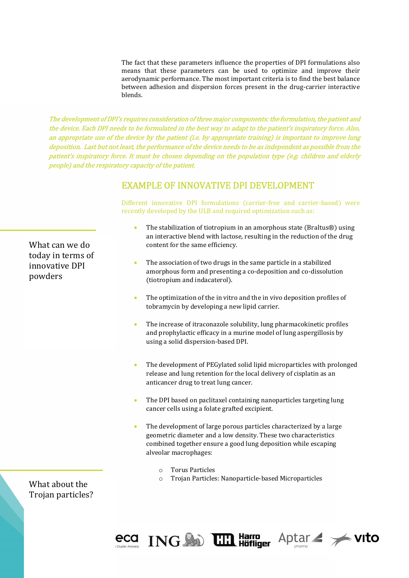The fact that these parameters influence the properties of DPI formulations also means that these parameters can be used to optimize and improve their aerodynamic performance. The most important criteria is to find the best balance between adhesion and dispersion forces present in the drug-carrier interactive blends.

The development of DPI's requires consideration of three major components: the formulation, the patient and the device. Each DPI needs to be formulated in the best way to adapt to the patient's inspiratory force. Also, an appropriate use of the device by the patient (i.e. by appropriate training) is important to improve lung deposition. Last but not least, the performance of the device needs to be as independent as possible from the patient's inspiratory force. It must be chosen depending on the population type (e.g. children and elderly people) and the respiratory capacity of the patient.

## EXAMPLE OF INNOVATIVE DPI DEVELOPMENT

Different innovative DPI formulations (carrier-free and carrier-based) were recently developed by the ULB and required optimization such as:

- The stabilization of tiotropium in an amorphous state (Braltus®) using an interactive blend with lactose, resulting in the reduction of the drug content for the same efficiency.
- The association of two drugs in the same particle in a stabilized amorphous form and presenting a co-deposition and co-dissolution (tiotropium and indacaterol).
- The optimization of the in vitro and the in vivo deposition profiles of tobramycin by developing a new lipid carrier.
- The increase of itraconazole solubility, lung pharmacokinetic profiles and prophylactic efficacy in a murine model of lung aspergillosis by using a solid dispersion-based DPI.
- The development of PEGylated solid lipid microparticles with prolonged release and lung retention for the local delivery of cisplatin as an anticancer drug to treat lung cancer.
- The DPI based on paclitaxel containing nanoparticles targeting lung cancer cells using a folate grafted excipient.
- The development of large porous particles characterized by a large geometric diameter and a low density. These two characteristics combined together ensure a good lung deposition while escaping alveolar macrophages:
	- o Torus Particles
	- o Trojan Particles: Nanoparticle-based Microparticles

What about the Trojan particles?



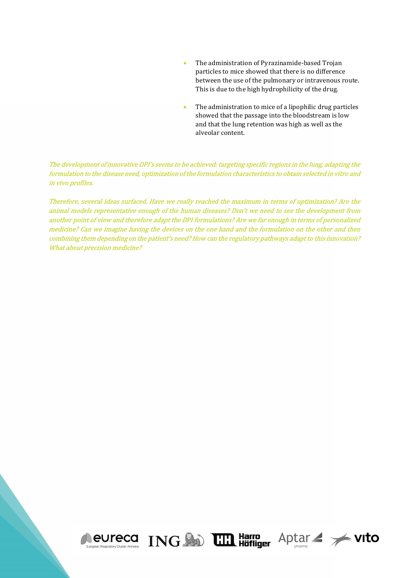- The administration of Pyrazinamide-based Trojan particles to mice showed that there is no difference between the use of the pulmonary or intravenous route. This is due to the high hydrophilicity of the drug.
- The administration to mice of a lipophilic drug particles showed that the passage into the bloodstream is low and that the lung retention was high as well as the alveolar content.

Aptar / vito

The development of innovative DPI's seems to be achieved: targeting specific regions in the lung, adapting the formulation to the disease need, optimization of the formulation characteristics to obtain selected in vitro and in vivo profiles.

Therefore, several ideas surfaced. Have we really reached the maximum in terms of optimization? Are the animal models representative enough of the human diseases? Don't we need to see the development from another point of view and therefore adapt the DPI formulations? Are we far enough in terms of personalized medicine? Can we imagine having the devices on the one hand and the formulation on the other and then combining them depending on the patient's need? How can the regulatory pathways adapt to this innovation? What about precision medicine?

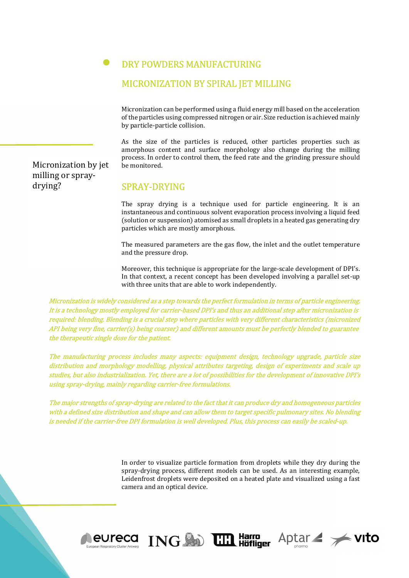#### DRY POWDERS MANUFACTURING

#### MICRONIZATION BY SPIRAL JET MILLING

Micronization can be performed using a fluid energy mill based on the acceleration of the particles using compressed nitrogen or air. Size reduction is achieved mainly by particle-particle collision.

As the size of the particles is reduced, other particles properties such as amorphous content and surface morphology also change during the milling process. In order to control them, the feed rate and the grinding pressure should be monitored.

SPRAY-DRYING

The spray drying is a technique used for particle engineering. It is an instantaneous and continuous solvent evaporation process involving a liquid feed (solution or suspension) atomised as small droplets in a heated gas generating dry particles which are mostly amorphous.

The measured parameters are the gas flow, the inlet and the outlet temperature and the pressure drop.

Moreover, this technique is appropriate for the large-scale development of DPI's. In that context, a recent concept has been developed involving a parallel set-up with three units that are able to work independently.

Micronization is widely considered as a step towards the perfect formulation in terms of particle engineering. It is a technology mostly employed for carrier-based DPI's and thus an additional step after micronization is required: blending. Blending is a crucial step where particles with very different characteristics (micronized API being very fine, carrier(s) being coarser) and different amounts must be perfectly blended to guarantee the therapeutic single dose for the patient.

The manufacturing process includes many aspects: equipment design, technology upgrade, particle size distribution and morphology modelling, physical attributes targeting, design of experiments and scale up studies, but also industrialization. Yet, there are a lot of possibilities for the development of innovative DPI's using spray-drying, mainly regarding carrier-free formulations.

The major strengths of spray-drying are related to the fact that it can produce dry and homogeneous particles with a defined size distribution and shape and can allow them to target specific pulmonary sites. No blending is needed if the carrier-free DPI formulation is well developed. Plus, this process can easily be scaled-up.

> In order to visualize particle formation from droplets while they dry during the spray-drying process, different models can be used. As an interesting example, Leidenfrost droplets were deposited on a heated plate and visualized using a fast camera and an optical device.



Micronization by jet milling or spraydrying?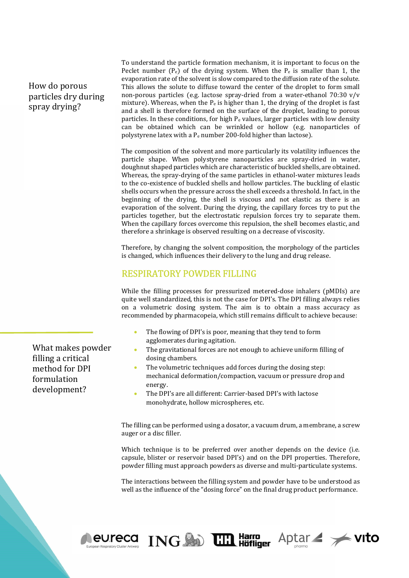### How do porous particles dry during spray drying?

To understand the particle formation mechanism, it is important to focus on the Peclet number  $(P_e)$  of the drying system. When the  $P_e$  is smaller than 1, the evaporation rate of the solvent is slow compared to the diffusion rate of the solute. This allows the solute to diffuse toward the center of the droplet to form small non-porous particles (e.g. lactose spray-dried from a water-ethanol 70:30 v/v mixture). Whereas, when the  $P_e$  is higher than 1, the drying of the droplet is fast and a shell is therefore formed on the surface of the droplet, leading to porous particles. In these conditions, for high  $P_e$  values, larger particles with low density can be obtained which can be wrinkled or hollow (e.g. nanoparticles of polystyrene latex with a Pe number 200-fold higher than lactose).

The composition of the solvent and more particularly its volatility influences the particle shape. When polystyrene nanoparticles are spray-dried in water, doughnut shaped particles which are characteristic of buckled shells, are obtained. Whereas, the spray-drying of the same particles in ethanol-water mixtures leads to the co-existence of buckled shells and hollow particles. The buckling of elastic shells occurs when the pressure across the shell exceeds a threshold. In fact, in the beginning of the drying, the shell is viscous and not elastic as there is an evaporation of the solvent. During the drying, the capillary forces try to put the particles together, but the electrostatic repulsion forces try to separate them. When the capillary forces overcome this repulsion, the shell becomes elastic, and therefore a shrinkage is observed resulting on a decrease of viscosity.

Therefore, by changing the solvent composition, the morphology of the particles is changed, which influences their delivery to the lung and drug release.

#### RESPIRATORY POWDER FILLING

While the filling processes for pressurized metered-dose inhalers (pMDIs) are quite well standardized, this is not the case for DPI's. The DPI filling always relies on a volumetric dosing system. The aim is to obtain a mass accuracy as recommended by pharmacopeia, which still remains difficult to achieve because:

- The flowing of DPI's is poor, meaning that they tend to form agglomerates during agitation.
- The gravitational forces are not enough to achieve uniform filling of dosing chambers.
- The volumetric techniques add forces during the dosing step: mechanical deformation/compaction, vacuum or pressure drop and energy.
- The DPI's are all different: Carrier-based DPI's with lactose monohydrate, hollow microspheres, etc.

The filling can be performed using a dosator, a vacuum drum, a membrane, a screw auger or a disc filler.

Which technique is to be preferred over another depends on the device (i.e. capsule, blister or reservoir based DPI's) and on the DPI properties. Therefore, powder filling must approach powders as diverse and multi-particulate systems.

The interactions between the filling system and powder have to be understood as well as the influence of the "dosing force" on the final drug product performance.



What makes powder filling a critical method for DPI formulation development?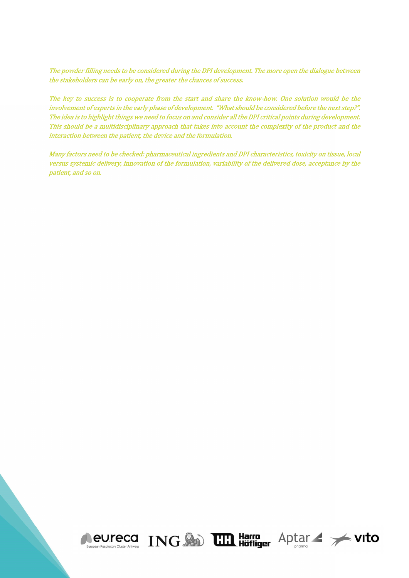The powder filling needs to be considered during the DPI development. The more open the dialogue between the stakeholders can be early on, the greater the chances of success.

The key to success is to cooperate from the start and share the know-how. One solution would be the involvement of experts in the early phase of development. "What should be considered before the next step?". The idea is to highlight things we need to focus on and consider all the DPI critical points during development. This should be a multidisciplinary approach that takes into account the complexity of the product and the interaction between the patient, the device and the formulation.

Many factors need to be checked: pharmaceutical ingredients and DPI characteristics, toxicity on tissue, local versus systemic delivery, innovation of the formulation, variability of the delivered dose, acceptance by the patient, and so on.

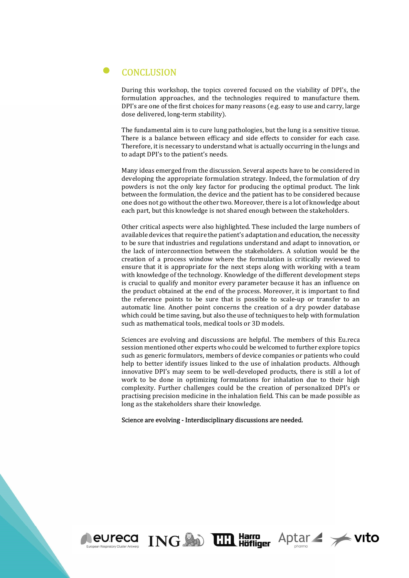#### $\bullet$ **CONCLUSION**

During this workshop, the topics covered focused on the viability of DPI's, the formulation approaches, and the technologies required to manufacture them. DPI's are one of the first choices for many reasons (e.g. easy to use and carry, large dose delivered, long-term stability).

The fundamental aim is to cure lung pathologies, but the lung is a sensitive tissue. There is a balance between efficacy and side effects to consider for each case. Therefore, it is necessary to understand what is actually occurring in the lungs and to adapt DPI's to the patient's needs.

Many ideas emerged from the discussion. Several aspects have to be considered in developing the appropriate formulation strategy. Indeed, the formulation of dry powders is not the only key factor for producing the optimal product. The link between the formulation, the device and the patient has to be considered because one does not go without the other two. Moreover, there is a lot of knowledge about each part, but this knowledge is not shared enough between the stakeholders.

Other critical aspects were also highlighted. These included the large numbers of available devices that require the patient's adaptation and education, the necessity to be sure that industries and regulations understand and adapt to innovation, or the lack of interconnection between the stakeholders. A solution would be the creation of a process window where the formulation is critically reviewed to ensure that it is appropriate for the next steps along with working with a team with knowledge of the technology. Knowledge of the different development steps is crucial to qualify and monitor every parameter because it has an influence on the product obtained at the end of the process. Moreover, it is important to find the reference points to be sure that is possible to scale-up or transfer to an automatic line. Another point concerns the creation of a dry powder database which could be time saving, but also the use of techniques to help with formulation such as mathematical tools, medical tools or 3D models.

Sciences are evolving and discussions are helpful. The members of this Eu.reca session mentioned other experts who could be welcomed to further explore topics such as generic formulators, members of device companies or patients who could help to better identify issues linked to the use of inhalation products. Although innovative DPI's may seem to be well-developed products, there is still a lot of work to be done in optimizing formulations for inhalation due to their high complexity. Further challenges could be the creation of personalized DPI's or practising precision medicine in the inhalation field. This can be made possible as long as the stakeholders share their knowledge.

Aptar / vito

#### Science are evolving - Interdisciplinary discussions are needed.